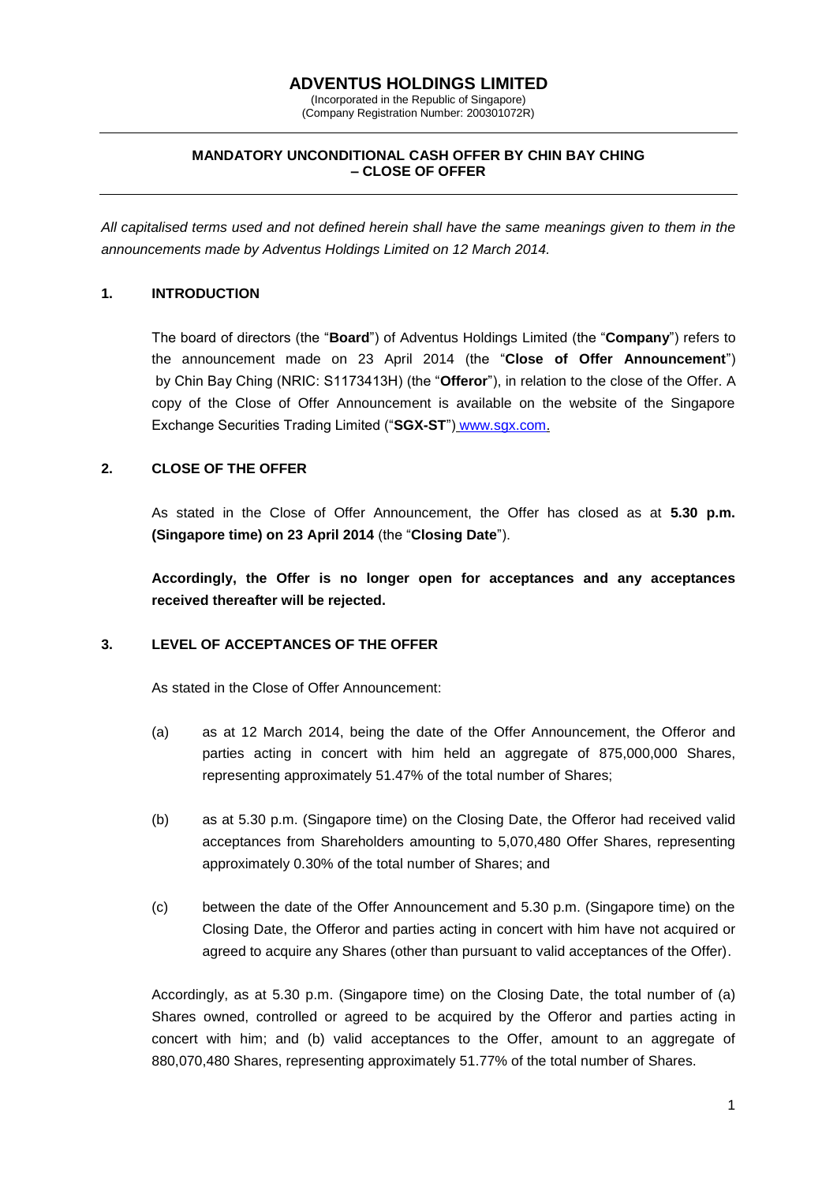# **ADVENTUS HOLDINGS LIMITED**

(Incorporated in the Republic of Singapore) (Company Registration Number: 200301072R)

### **MANDATORY UNCONDITIONAL CASH OFFER BY CHIN BAY CHING – CLOSE OF OFFER**

*All capitalised terms used and not defined herein shall have the same meanings given to them in the announcements made by Adventus Holdings Limited on 12 March 2014.*

## **1. INTRODUCTION**

The board of directors (the "**Board**") of Adventus Holdings Limited (the "**Company**") refers to the announcement made on 23 April 2014 (the "**Close of Offer Announcement**") by Chin Bay Ching (NRIC: S1173413H) (the "**Offeror**"), in relation to the close of the Offer. A copy of the Close of Offer Announcement is available on the website of the Singapore Exchange Securities Trading Limited ("**SGX-ST**") [www.sgx.com.](http://www.sgx.com/)

# **2. CLOSE OF THE OFFER**

As stated in the Close of Offer Announcement, the Offer has closed as at **5.30 p.m. (Singapore time) on 23 April 2014** (the "**Closing Date**").

**Accordingly, the Offer is no longer open for acceptances and any acceptances received thereafter will be rejected.**

### **3. LEVEL OF ACCEPTANCES OF THE OFFER**

As stated in the Close of Offer Announcement:

- (a) as at 12 March 2014, being the date of the Offer Announcement, the Offeror and parties acting in concert with him held an aggregate of 875,000,000 Shares, representing approximately 51.47% of the total number of Shares;
- (b) as at 5.30 p.m. (Singapore time) on the Closing Date, the Offeror had received valid acceptances from Shareholders amounting to 5,070,480 Offer Shares, representing approximately 0.30% of the total number of Shares; and
- (c) between the date of the Offer Announcement and 5.30 p.m. (Singapore time) on the Closing Date, the Offeror and parties acting in concert with him have not acquired or agreed to acquire any Shares (other than pursuant to valid acceptances of the Offer).

Accordingly, as at 5.30 p.m. (Singapore time) on the Closing Date, the total number of (a) Shares owned, controlled or agreed to be acquired by the Offeror and parties acting in concert with him; and (b) valid acceptances to the Offer, amount to an aggregate of 880,070,480 Shares, representing approximately 51.77% of the total number of Shares.